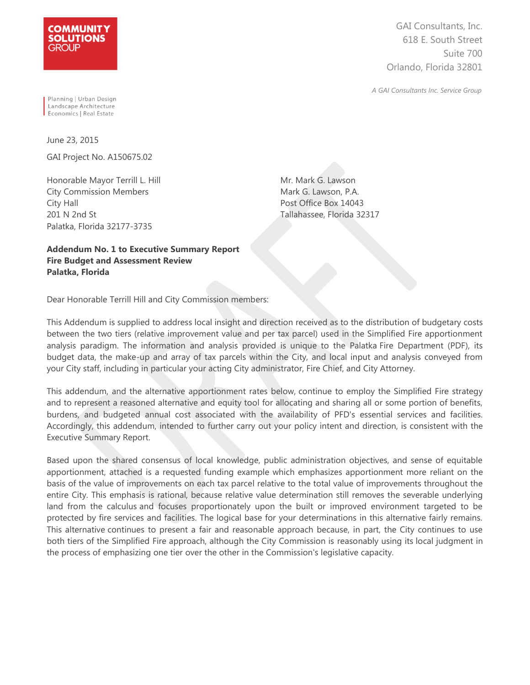

GAI Consultants, Inc. 618 E. South Street Suite 700 Orlando, Florida 32801

A GAI Consultants Inc. Service Group

Planning | Urban Design Landscape Architecture Economics | Real Estate

June 23, 2015 GAI Project No. A150675.02

Honorable Mayor Terrill L. Hill City Commission Members City Hall 201 N 2nd St Palatka, Florida 32177-3735

Mr. Mark G. Lawson Mark G. Lawson, P.A. Post Office Box 14043 Tallahassee, Florida 32317

**Addendum No. 1 to Executive Summary Report Fire Budget and Assessment Review Palatka, Florida**

Dear Honorable Terrill Hill and City Commission members:

This Addendum is supplied to address local insight and direction received as to the distribution of budgetary costs between the two tiers (relative improvement value and per tax parcel) used in the Simplified Fire apportionment analysis paradigm. The information and analysis provided is unique to the Palatka Fire Department (PDF), its budget data, the make-up and array of tax parcels within the City, and local input and analysis conveyed from your City staff, including in particular your acting City administrator, Fire Chief, and City Attorney.

This addendum, and the alternative apportionment rates below, continue to employ the Simplified Fire strategy and to represent a reasoned alternative and equity tool for allocating and sharing all or some portion of benefits, burdens, and budgeted annual cost associated with the availability of PFD's essential services and facilities. Accordingly, this addendum, intended to further carry out your policy intent and direction, is consistent with the Executive Summary Report.

Based upon the shared consensus of local knowledge, public administration objectives, and sense of equitable apportionment, attached is a requested funding example which emphasizes apportionment more reliant on the basis of the value of improvements on each tax parcel relative to the total value of improvements throughout the entire City. This emphasis is rational, because relative value determination still removes the severable underlying land from the calculus and focuses proportionately upon the built or improved environment targeted to be protected by fire services and facilities. The logical base for your determinations in this alternative fairly remains. This alternative continues to present a fair and reasonable approach because, in part, the City continues to use both tiers of the Simplified Fire approach, although the City Commission is reasonably using its local judgment in the process of emphasizing one tier over the other in the Commission's legislative capacity.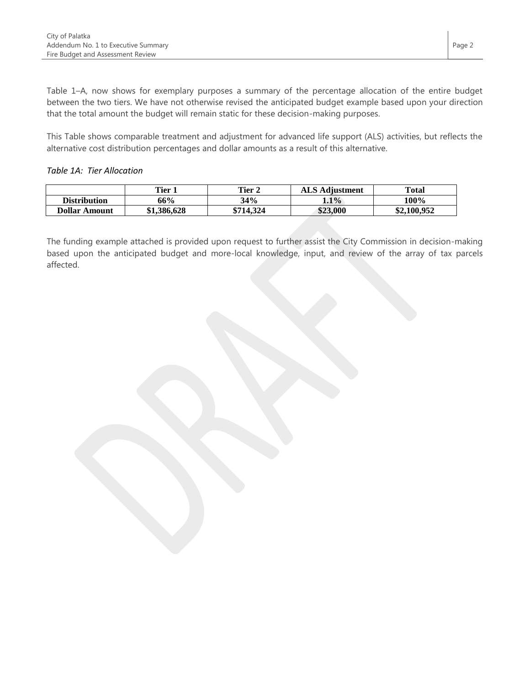Table 1–A, now shows for exemplary purposes a summary of the percentage allocation of the entire budget between the two tiers. We have not otherwise revised the anticipated budget example based upon your direction that the total amount the budget will remain static for these decision-making purposes.

This Table shows comparable treatment and adjustment for advanced life support (ALS) activities, but reflects the alternative cost distribution percentages and dollar amounts as a result of this alternative.

## *Table 1A: Tier Allocation*

|                      | Tier 1             | Tier 2    | <b>ALS Adiustment</b> | <b>Total</b> |
|----------------------|--------------------|-----------|-----------------------|--------------|
| <b>Distribution</b>  | 66%                | 34%       | $4.1\%$               | 100%         |
| <b>Dollar Amount</b> | \$1,386,628<br>ሐ 1 | \$714,324 | \$23,000              | \$2,100,952  |

The funding example attached is provided upon request to further assist the City Commission in decision-making based upon the anticipated budget and more-local knowledge, input, and review of the array of tax parcels affected.